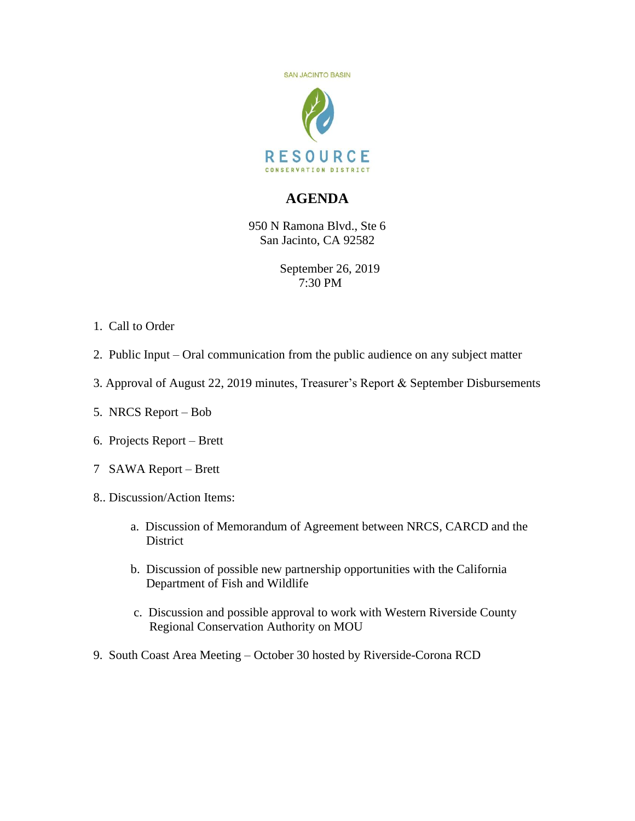

## **AGENDA**

950 N Ramona Blvd., Ste 6 San Jacinto, CA 92582

> September 26, 2019 7:30 PM

- 1. Call to Order
- 2. Public Input Oral communication from the public audience on any subject matter
- 3. Approval of August 22, 2019 minutes, Treasurer's Report & September Disbursements
- 5. NRCS Report Bob
- 6. Projects Report Brett
- 7 SAWA Report Brett
- 8.. Discussion/Action Items:
	- a. Discussion of Memorandum of Agreement between NRCS, CARCD and the District
	- b. Discussion of possible new partnership opportunities with the California Department of Fish and Wildlife
	- c. Discussion and possible approval to work with Western Riverside County Regional Conservation Authority on MOU
- 9. South Coast Area Meeting October 30 hosted by Riverside-Corona RCD